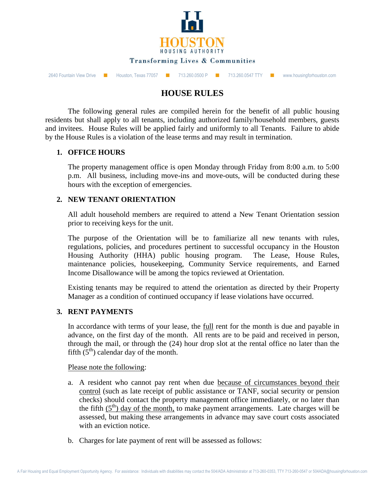

2640 Fountain View Drive ■ Houston, Texas 77057 ■ 713.260.0500 P ■ 713.260.0547 TTY ■ www.housingforhouston.com

# **HOUSE RULES**

The following general rules are compiled herein for the benefit of all public housing residents but shall apply to all tenants, including authorized family/household members, guests and invitees. House Rules will be applied fairly and uniformly to all Tenants. Failure to abide by the House Rules is a violation of the lease terms and may result in termination.

# **1. OFFICE HOURS**

The property management office is open Monday through Friday from 8:00 a.m. to 5:00 p.m. All business, including move-ins and move-outs, will be conducted during these hours with the exception of emergencies.

### **2. NEW TENANT ORIENTATION**

All adult household members are required to attend a New Tenant Orientation session prior to receiving keys for the unit.

The purpose of the Orientation will be to familiarize all new tenants with rules, regulations, policies, and procedures pertinent to successful occupancy in the Houston Housing Authority (HHA) public housing program. The Lease, House Rules, maintenance policies, housekeeping, Community Service requirements, and Earned Income Disallowance will be among the topics reviewed at Orientation.

Existing tenants may be required to attend the orientation as directed by their Property Manager as a condition of continued occupancy if lease violations have occurred.

### **3. RENT PAYMENTS**

In accordance with terms of your lease, the full rent for the month is due and payable in advance, on the first day of the month. All rents are to be paid and received in person, through the mail, or through the (24) hour drop slot at the rental office no later than the fifth  $(5<sup>th</sup>)$  calendar day of the month.

Please note the following:

- a. A resident who cannot pay rent when due because of circumstances beyond their control (such as late receipt of public assistance or TANF, social security or pension checks) should contact the property management office immediately, or no later than the fifth  $(5<sup>th</sup>)$  day of the month, to make payment arrangements. Late charges will be assessed, but making these arrangements in advance may save court costs associated with an eviction notice.
- b. Charges for late payment of rent will be assessed as follows: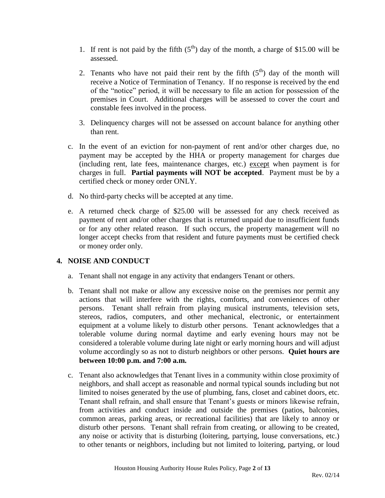- 1. If rent is not paid by the fifth  $(5<sup>th</sup>)$  day of the month, a charge of \$15.00 will be assessed.
- 2. Tenants who have not paid their rent by the fifth  $(5<sup>th</sup>)$  day of the month will receive a Notice of Termination of Tenancy. If no response is received by the end of the "notice" period, it will be necessary to file an action for possession of the premises in Court. Additional charges will be assessed to cover the court and constable fees involved in the process.
- 3. Delinquency charges will not be assessed on account balance for anything other than rent.
- c. In the event of an eviction for non-payment of rent and/or other charges due, no payment may be accepted by the HHA or property management for charges due (including rent, late fees, maintenance charges, etc.) except when payment is for charges in full. **Partial payments will NOT be accepted**. Payment must be by a certified check or money order ONLY.
- d. No third-party checks will be accepted at any time.
- e. A returned check charge of \$25.00 will be assessed for any check received as payment of rent and/or other charges that is returned unpaid due to insufficient funds or for any other related reason. If such occurs, the property management will no longer accept checks from that resident and future payments must be certified check or money order only.

# **4. NOISE AND CONDUCT**

- a. Tenant shall not engage in any activity that endangers Tenant or others.
- b. Tenant shall not make or allow any excessive noise on the premises nor permit any actions that will interfere with the rights, comforts, and conveniences of other persons. Tenant shall refrain from playing musical instruments, television sets, stereos, radios, computers, and other mechanical, electronic, or entertainment equipment at a volume likely to disturb other persons. Tenant acknowledges that a tolerable volume during normal daytime and early evening hours may not be considered a tolerable volume during late night or early morning hours and will adjust volume accordingly so as not to disturb neighbors or other persons. **Quiet hours are between 10:00 p.m. and 7:00 a.m.**
- c. Tenant also acknowledges that Tenant lives in a community within close proximity of neighbors, and shall accept as reasonable and normal typical sounds including but not limited to noises generated by the use of plumbing, fans, closet and cabinet doors, etc. Tenant shall refrain, and shall ensure that Tenant's guests or minors likewise refrain, from activities and conduct inside and outside the premises (patios, balconies, common areas, parking areas, or recreational facilities) that are likely to annoy or disturb other persons. Tenant shall refrain from creating, or allowing to be created, any noise or activity that is disturbing (loitering, partying, louse conversations, etc.) to other tenants or neighbors, including but not limited to loitering, partying, or loud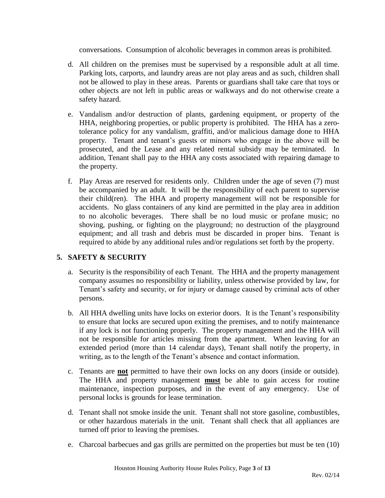conversations. Consumption of alcoholic beverages in common areas is prohibited.

- d. All children on the premises must be supervised by a responsible adult at all time. Parking lots, carports, and laundry areas are not play areas and as such, children shall not be allowed to play in these areas. Parents or guardians shall take care that toys or other objects are not left in public areas or walkways and do not otherwise create a safety hazard.
- e. Vandalism and/or destruction of plants, gardening equipment, or property of the HHA, neighboring properties, or public property is prohibited. The HHA has a zerotolerance policy for any vandalism, graffiti, and/or malicious damage done to HHA property. Tenant and tenant's guests or minors who engage in the above will be prosecuted, and the Lease and any related rental subsidy may be terminated. In addition, Tenant shall pay to the HHA any costs associated with repairing damage to the property.
- f. Play Areas are reserved for residents only. Children under the age of seven (7) must be accompanied by an adult. It will be the responsibility of each parent to supervise their child(ren). The HHA and property management will not be responsible for accidents. No glass containers of any kind are permitted in the play area in addition to no alcoholic beverages. There shall be no loud music or profane music; no shoving, pushing, or fighting on the playground; no destruction of the playground equipment; and all trash and debris must be discarded in proper bins. Tenant is required to abide by any additional rules and/or regulations set forth by the property.

# **5. SAFETY & SECURITY**

- a. Security is the responsibility of each Tenant. The HHA and the property management company assumes no responsibility or liability, unless otherwise provided by law, for Tenant's safety and security, or for injury or damage caused by criminal acts of other persons.
- b. All HHA dwelling units have locks on exterior doors. It is the Tenant's responsibility to ensure that locks are secured upon exiting the premises, and to notify maintenance if any lock is not functioning properly. The property management and the HHA will not be responsible for articles missing from the apartment. When leaving for an extended period (more than 14 calendar days), Tenant shall notify the property, in writing, as to the length of the Tenant's absence and contact information.
- c. Tenants are **not** permitted to have their own locks on any doors (inside or outside). The HHA and property management **must** be able to gain access for routine maintenance, inspection purposes, and in the event of any emergency. Use of personal locks is grounds for lease termination.
- d. Tenant shall not smoke inside the unit. Tenant shall not store gasoline, combustibles, or other hazardous materials in the unit. Tenant shall check that all appliances are turned off prior to leaving the premises.
- e. Charcoal barbecues and gas grills are permitted on the properties but must be ten (10)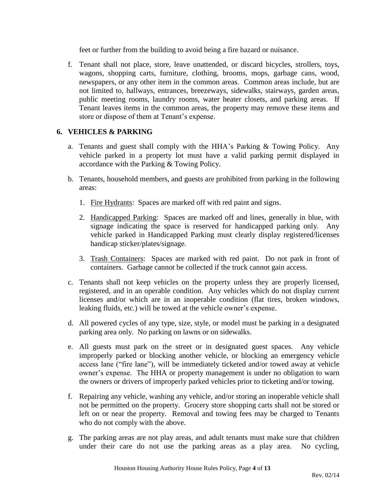feet or further from the building to avoid being a fire hazard or nuisance.

f. Tenant shall not place, store, leave unattended, or discard bicycles, strollers, toys, wagons, shopping carts, furniture, clothing, brooms, mops, garbage cans, wood, newspapers, or any other item in the common areas. Common areas include, but are not limited to, hallways, entrances, breezeways, sidewalks, stairways, garden areas, public meeting rooms, laundry rooms, water heater closets, and parking areas. If Tenant leaves items in the common areas, the property may remove these items and store or dispose of them at Tenant's expense.

### **6. VEHICLES & PARKING**

- a. Tenants and guest shall comply with the HHA's Parking & Towing Policy. Any vehicle parked in a property lot must have a valid parking permit displayed in accordance with the Parking & Towing Policy.
- b. Tenants, household members, and guests are prohibited from parking in the following areas:
	- 1. Fire Hydrants: Spaces are marked off with red paint and signs.
	- 2. Handicapped Parking: Spaces are marked off and lines, generally in blue, with signage indicating the space is reserved for handicapped parking only. Any vehicle parked in Handicapped Parking must clearly display registered/licenses handicap sticker/plates/signage.
	- 3. Trash Containers: Spaces are marked with red paint. Do not park in front of containers. Garbage cannot be collected if the truck cannot gain access.
- c. Tenants shall not keep vehicles on the property unless they are properly licensed, registered, and in an operable condition. Any vehicles which do not display current licenses and/or which are in an inoperable condition (flat tires, broken windows, leaking fluids, etc.) will be towed at the vehicle owner's expense.
- d. All powered cycles of any type, size, style, or model must be parking in a designated parking area only. No parking on lawns or on sidewalks.
- e. All guests must park on the street or in designated guest spaces. Any vehicle improperly parked or blocking another vehicle, or blocking an emergency vehicle access lane ("fire lane"), will be immediately ticketed and/or towed away at vehicle owner's expense. The HHA or property management is under no obligation to warn the owners or drivers of improperly parked vehicles prior to ticketing and/or towing.
- f. Repairing any vehicle, washing any vehicle, and/or storing an inoperable vehicle shall not be permitted on the property. Grocery store shopping carts shall not be stored or left on or near the property. Removal and towing fees may be charged to Tenants who do not comply with the above.
- g. The parking areas are not play areas, and adult tenants must make sure that children under their care do not use the parking areas as a play area. No cycling,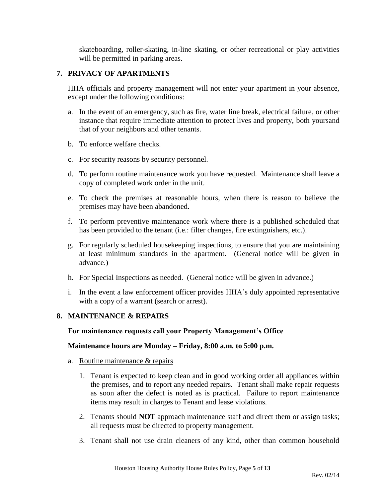skateboarding, roller-skating, in-line skating, or other recreational or play activities will be permitted in parking areas.

### **7. PRIVACY OF APARTMENTS**

HHA officials and property management will not enter your apartment in your absence, except under the following conditions:

- a. In the event of an emergency, such as fire, water line break, electrical failure, or other instance that require immediate attention to protect lives and property, both yoursand that of your neighbors and other tenants.
- b. To enforce welfare checks.
- c. For security reasons by security personnel.
- d. To perform routine maintenance work you have requested. Maintenance shall leave a copy of completed work order in the unit.
- e. To check the premises at reasonable hours, when there is reason to believe the premises may have been abandoned.
- f. To perform preventive maintenance work where there is a published scheduled that has been provided to the tenant (i.e.: filter changes, fire extinguishers, etc.).
- g. For regularly scheduled housekeeping inspections, to ensure that you are maintaining at least minimum standards in the apartment. (General notice will be given in advance.)
- h. For Special Inspections as needed. (General notice will be given in advance.)
- i. In the event a law enforcement officer provides HHA's duly appointed representative with a copy of a warrant (search or arrest).

### **8. MAINTENANCE & REPAIRS**

### **For maintenance requests call your Property Management's Office**

### **Maintenance hours are Monday – Friday, 8:00 a.m. to 5:00 p.m.**

- a. Routine maintenance & repairs
	- 1. Tenant is expected to keep clean and in good working order all appliances within the premises, and to report any needed repairs. Tenant shall make repair requests as soon after the defect is noted as is practical. Failure to report maintenance items may result in charges to Tenant and lease violations.
	- 2. Tenants should **NOT** approach maintenance staff and direct them or assign tasks; all requests must be directed to property management.
	- 3. Tenant shall not use drain cleaners of any kind, other than common household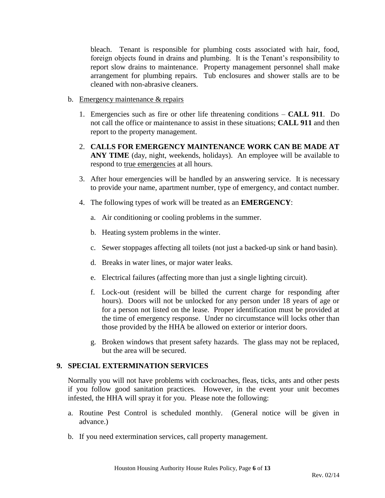bleach. Tenant is responsible for plumbing costs associated with hair, food, foreign objects found in drains and plumbing. It is the Tenant's responsibility to report slow drains to maintenance. Property management personnel shall make arrangement for plumbing repairs. Tub enclosures and shower stalls are to be cleaned with non-abrasive cleaners.

- b. Emergency maintenance & repairs
	- 1. Emergencies such as fire or other life threatening conditions **CALL 911**. Do not call the office or maintenance to assist in these situations; **CALL 911** and then report to the property management.
	- 2. **CALLS FOR EMERGENCY MAINTENANCE WORK CAN BE MADE AT**  ANY TIME (day, night, weekends, holidays). An employee will be available to respond to true emergencies at all hours.
	- 3. After hour emergencies will be handled by an answering service. It is necessary to provide your name, apartment number, type of emergency, and contact number.
	- 4. The following types of work will be treated as an **EMERGENCY**:
		- a. Air conditioning or cooling problems in the summer.
		- b. Heating system problems in the winter.
		- c. Sewer stoppages affecting all toilets (not just a backed-up sink or hand basin).
		- d. Breaks in water lines, or major water leaks.
		- e. Electrical failures (affecting more than just a single lighting circuit).
		- f. Lock-out (resident will be billed the current charge for responding after hours). Doors will not be unlocked for any person under 18 years of age or for a person not listed on the lease. Proper identification must be provided at the time of emergency response. Under no circumstance will locks other than those provided by the HHA be allowed on exterior or interior doors.
		- g. Broken windows that present safety hazards. The glass may not be replaced, but the area will be secured.

### **9. SPECIAL EXTERMINATION SERVICES**

Normally you will not have problems with cockroaches, fleas, ticks, ants and other pests if you follow good sanitation practices. However, in the event your unit becomes infested, the HHA will spray it for you. Please note the following:

- a. Routine Pest Control is scheduled monthly. (General notice will be given in advance.)
- b. If you need extermination services, call property management.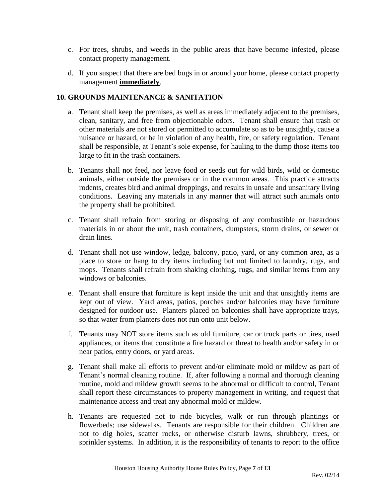- c. For trees, shrubs, and weeds in the public areas that have become infested, please contact property management.
- d. If you suspect that there are bed bugs in or around your home, please contact property management **immediately**.

### **10. GROUNDS MAINTENANCE & SANITATION**

- a. Tenant shall keep the premises, as well as areas immediately adjacent to the premises, clean, sanitary, and free from objectionable odors. Tenant shall ensure that trash or other materials are not stored or permitted to accumulate so as to be unsightly, cause a nuisance or hazard, or be in violation of any health, fire, or safety regulation. Tenant shall be responsible, at Tenant's sole expense, for hauling to the dump those items too large to fit in the trash containers.
- b. Tenants shall not feed, nor leave food or seeds out for wild birds, wild or domestic animals, either outside the premises or in the common areas. This practice attracts rodents, creates bird and animal droppings, and results in unsafe and unsanitary living conditions. Leaving any materials in any manner that will attract such animals onto the property shall be prohibited.
- c. Tenant shall refrain from storing or disposing of any combustible or hazardous materials in or about the unit, trash containers, dumpsters, storm drains, or sewer or drain lines.
- d. Tenant shall not use window, ledge, balcony, patio, yard, or any common area, as a place to store or hang to dry items including but not limited to laundry, rugs, and mops. Tenants shall refrain from shaking clothing, rugs, and similar items from any windows or balconies.
- e. Tenant shall ensure that furniture is kept inside the unit and that unsightly items are kept out of view. Yard areas, patios, porches and/or balconies may have furniture designed for outdoor use. Planters placed on balconies shall have appropriate trays, so that water from planters does not run onto unit below.
- f. Tenants may NOT store items such as old furniture, car or truck parts or tires, used appliances, or items that constitute a fire hazard or threat to health and/or safety in or near patios, entry doors, or yard areas.
- g. Tenant shall make all efforts to prevent and/or eliminate mold or mildew as part of Tenant's normal cleaning routine. If, after following a normal and thorough cleaning routine, mold and mildew growth seems to be abnormal or difficult to control, Tenant shall report these circumstances to property management in writing, and request that maintenance access and treat any abnormal mold or mildew.
- h. Tenants are requested not to ride bicycles, walk or run through plantings or flowerbeds; use sidewalks. Tenants are responsible for their children. Children are not to dig holes, scatter rocks, or otherwise disturb lawns, shrubbery, trees, or sprinkler systems. In addition, it is the responsibility of tenants to report to the office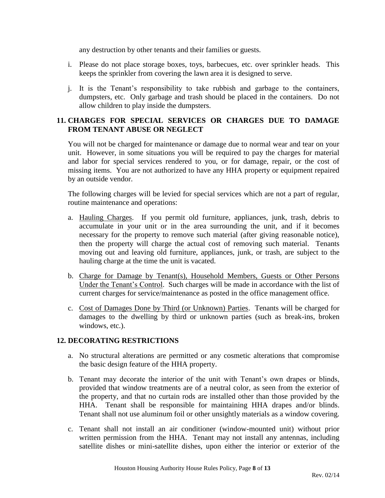any destruction by other tenants and their families or guests.

- i. Please do not place storage boxes, toys, barbecues, etc. over sprinkler heads. This keeps the sprinkler from covering the lawn area it is designed to serve.
- j. It is the Tenant's responsibility to take rubbish and garbage to the containers, dumpsters, etc. Only garbage and trash should be placed in the containers. Do not allow children to play inside the dumpsters.

# **11. CHARGES FOR SPECIAL SERVICES OR CHARGES DUE TO DAMAGE FROM TENANT ABUSE OR NEGLECT**

You will not be charged for maintenance or damage due to normal wear and tear on your unit. However, in some situations you will be required to pay the charges for material and labor for special services rendered to you, or for damage, repair, or the cost of missing items. You are not authorized to have any HHA property or equipment repaired by an outside vendor.

The following charges will be levied for special services which are not a part of regular, routine maintenance and operations:

- a. Hauling Charges. If you permit old furniture, appliances, junk, trash, debris to accumulate in your unit or in the area surrounding the unit, and if it becomes necessary for the property to remove such material (after giving reasonable notice), then the property will charge the actual cost of removing such material. Tenants moving out and leaving old furniture, appliances, junk, or trash, are subject to the hauling charge at the time the unit is vacated.
- b. Charge for Damage by Tenant(s), Household Members, Guests or Other Persons Under the Tenant's Control. Such charges will be made in accordance with the list of current charges for service/maintenance as posted in the office management office.
- c. Cost of Damages Done by Third (or Unknown) Parties. Tenants will be charged for damages to the dwelling by third or unknown parties (such as break-ins, broken windows, etc.).

# **12. DECORATING RESTRICTIONS**

- a. No structural alterations are permitted or any cosmetic alterations that compromise the basic design feature of the HHA property.
- b. Tenant may decorate the interior of the unit with Tenant's own drapes or blinds, provided that window treatments are of a neutral color, as seen from the exterior of the property, and that no curtain rods are installed other than those provided by the HHA. Tenant shall be responsible for maintaining HHA drapes and/or blinds. Tenant shall not use aluminum foil or other unsightly materials as a window covering.
- c. Tenant shall not install an air conditioner (window-mounted unit) without prior written permission from the HHA. Tenant may not install any antennas, including satellite dishes or mini-satellite dishes, upon either the interior or exterior of the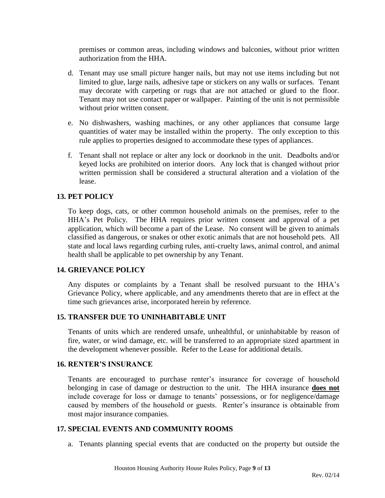premises or common areas, including windows and balconies, without prior written authorization from the HHA.

- d. Tenant may use small picture hanger nails, but may not use items including but not limited to glue, large nails, adhesive tape or stickers on any walls or surfaces. Tenant may decorate with carpeting or rugs that are not attached or glued to the floor. Tenant may not use contact paper or wallpaper. Painting of the unit is not permissible without prior written consent.
- e. No dishwashers, washing machines, or any other appliances that consume large quantities of water may be installed within the property. The only exception to this rule applies to properties designed to accommodate these types of appliances.
- f. Tenant shall not replace or alter any lock or doorknob in the unit. Deadbolts and/or keyed locks are prohibited on interior doors. Any lock that is changed without prior written permission shall be considered a structural alteration and a violation of the lease.

### **13. PET POLICY**

To keep dogs, cats, or other common household animals on the premises, refer to the HHA's Pet Policy. The HHA requires prior written consent and approval of a pet application, which will become a part of the Lease. No consent will be given to animals classified as dangerous, or snakes or other exotic animals that are not household pets. All state and local laws regarding curbing rules, anti-cruelty laws, animal control, and animal health shall be applicable to pet ownership by any Tenant.

### **14. GRIEVANCE POLICY**

Any disputes or complaints by a Tenant shall be resolved pursuant to the HHA's Grievance Policy, where applicable, and any amendments thereto that are in effect at the time such grievances arise, incorporated herein by reference.

### **15. TRANSFER DUE TO UNINHABITABLE UNIT**

Tenants of units which are rendered unsafe, unhealthful, or uninhabitable by reason of fire, water, or wind damage, etc. will be transferred to an appropriate sized apartment in the development whenever possible. Refer to the Lease for additional details.

### **16. RENTER'S INSURANCE**

Tenants are encouraged to purchase renter's insurance for coverage of household belonging in case of damage or destruction to the unit. The HHA insurance **does not** include coverage for loss or damage to tenants' possessions, or for negligence/damage caused by members of the household or guests. Renter's insurance is obtainable from most major insurance companies.

### **17. SPECIAL EVENTS AND COMMUNITY ROOMS**

a. Tenants planning special events that are conducted on the property but outside the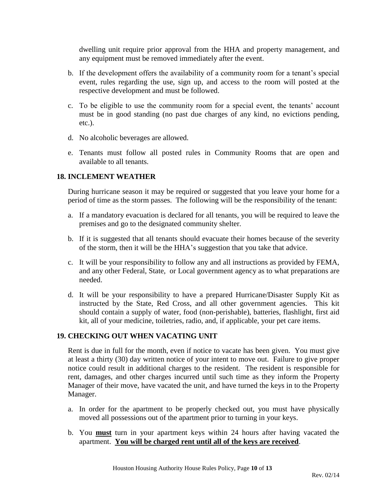dwelling unit require prior approval from the HHA and property management, and any equipment must be removed immediately after the event.

- b. If the development offers the availability of a community room for a tenant's special event, rules regarding the use, sign up, and access to the room will posted at the respective development and must be followed.
- c. To be eligible to use the community room for a special event, the tenants' account must be in good standing (no past due charges of any kind, no evictions pending, etc.).
- d. No alcoholic beverages are allowed.
- e. Tenants must follow all posted rules in Community Rooms that are open and available to all tenants.

# **18. INCLEMENT WEATHER**

During hurricane season it may be required or suggested that you leave your home for a period of time as the storm passes. The following will be the responsibility of the tenant:

- a. If a mandatory evacuation is declared for all tenants, you will be required to leave the premises and go to the designated community shelter.
- b. If it is suggested that all tenants should evacuate their homes because of the severity of the storm, then it will be the HHA's suggestion that you take that advice.
- c. It will be your responsibility to follow any and all instructions as provided by FEMA, and any other Federal, State, or Local government agency as to what preparations are needed.
- d. It will be your responsibility to have a prepared Hurricane/Disaster Supply Kit as instructed by the State, Red Cross, and all other government agencies. This kit should contain a supply of water, food (non-perishable), batteries, flashlight, first aid kit, all of your medicine, toiletries, radio, and, if applicable, your pet care items.

### **19. CHECKING OUT WHEN VACATING UNIT**

Rent is due in full for the month, even if notice to vacate has been given. You must give at least a thirty (30) day written notice of your intent to move out. Failure to give proper notice could result in additional charges to the resident. The resident is responsible for rent, damages, and other charges incurred until such time as they inform the Property Manager of their move, have vacated the unit, and have turned the keys in to the Property Manager.

- a. In order for the apartment to be properly checked out, you must have physically moved all possessions out of the apartment prior to turning in your keys.
- b. You **must** turn in your apartment keys within 24 hours after having vacated the apartment. **You will be charged rent until all of the keys are received**.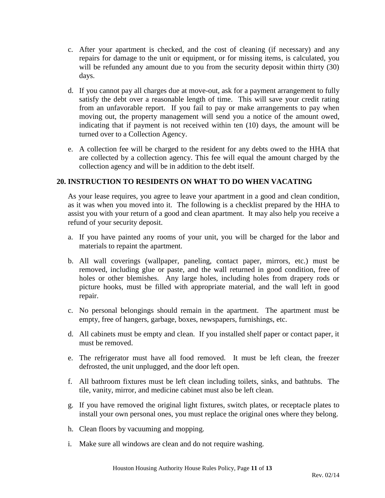- c. After your apartment is checked, and the cost of cleaning (if necessary) and any repairs for damage to the unit or equipment, or for missing items, is calculated, you will be refunded any amount due to you from the security deposit within thirty (30) days.
- d. If you cannot pay all charges due at move-out, ask for a payment arrangement to fully satisfy the debt over a reasonable length of time. This will save your credit rating from an unfavorable report. If you fail to pay or make arrangements to pay when moving out, the property management will send you a notice of the amount owed, indicating that if payment is not received within ten (10) days, the amount will be turned over to a Collection Agency.
- e. A collection fee will be charged to the resident for any debts owed to the HHA that are collected by a collection agency. This fee will equal the amount charged by the collection agency and will be in addition to the debt itself.

# **20. INSTRUCTION TO RESIDENTS ON WHAT TO DO WHEN VACATING**

As your lease requires, you agree to leave your apartment in a good and clean condition, as it was when you moved into it. The following is a checklist prepared by the HHA to assist you with your return of a good and clean apartment. It may also help you receive a refund of your security deposit.

- a. If you have painted any rooms of your unit, you will be charged for the labor and materials to repaint the apartment.
- b. All wall coverings (wallpaper, paneling, contact paper, mirrors, etc.) must be removed, including glue or paste, and the wall returned in good condition, free of holes or other blemishes. Any large holes, including holes from drapery rods or picture hooks, must be filled with appropriate material, and the wall left in good repair.
- c. No personal belongings should remain in the apartment. The apartment must be empty, free of hangers, garbage, boxes, newspapers, furnishings, etc.
- d. All cabinets must be empty and clean. If you installed shelf paper or contact paper, it must be removed.
- e. The refrigerator must have all food removed. It must be left clean, the freezer defrosted, the unit unplugged, and the door left open.
- f. All bathroom fixtures must be left clean including toilets, sinks, and bathtubs. The tile, vanity, mirror, and medicine cabinet must also be left clean.
- g. If you have removed the original light fixtures, switch plates, or receptacle plates to install your own personal ones, you must replace the original ones where they belong.
- h. Clean floors by vacuuming and mopping.
- i. Make sure all windows are clean and do not require washing.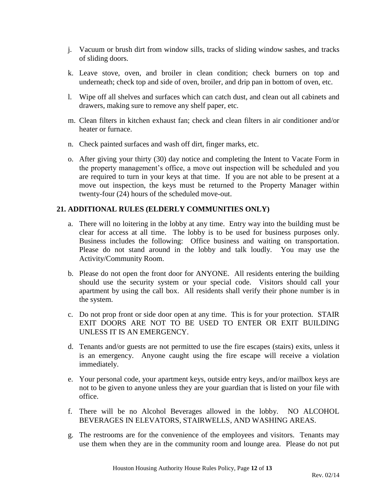- j. Vacuum or brush dirt from window sills, tracks of sliding window sashes, and tracks of sliding doors.
- k. Leave stove, oven, and broiler in clean condition; check burners on top and underneath; check top and side of oven, broiler, and drip pan in bottom of oven, etc.
- l. Wipe off all shelves and surfaces which can catch dust, and clean out all cabinets and drawers, making sure to remove any shelf paper, etc.
- m. Clean filters in kitchen exhaust fan; check and clean filters in air conditioner and/or heater or furnace.
- n. Check painted surfaces and wash off dirt, finger marks, etc.
- o. After giving your thirty (30) day notice and completing the Intent to Vacate Form in the property management's office, a move out inspection will be scheduled and you are required to turn in your keys at that time. If you are not able to be present at a move out inspection, the keys must be returned to the Property Manager within twenty-four (24) hours of the scheduled move-out.

# **21. ADDITIONAL RULES (ELDERLY COMMUNITIES ONLY)**

- a. There will no loitering in the lobby at any time. Entry way into the building must be clear for access at all time. The lobby is to be used for business purposes only. Business includes the following: Office business and waiting on transportation. Please do not stand around in the lobby and talk loudly. You may use the Activity/Community Room.
- b. Please do not open the front door for ANYONE. All residents entering the building should use the security system or your special code. Visitors should call your apartment by using the call box. All residents shall verify their phone number is in the system.
- c. Do not prop front or side door open at any time. This is for your protection. STAIR EXIT DOORS ARE NOT TO BE USED TO ENTER OR EXIT BUILDING UNLESS IT IS AN EMERGENCY.
- d. Tenants and/or guests are not permitted to use the fire escapes (stairs) exits, unless it is an emergency. Anyone caught using the fire escape will receive a violation immediately.
- e. Your personal code, your apartment keys, outside entry keys, and/or mailbox keys are not to be given to anyone unless they are your guardian that is listed on your file with office.
- f. There will be no Alcohol Beverages allowed in the lobby. NO ALCOHOL BEVERAGES IN ELEVATORS, STAIRWELLS, AND WASHING AREAS.
- g. The restrooms are for the convenience of the employees and visitors. Tenants may use them when they are in the community room and lounge area. Please do not put